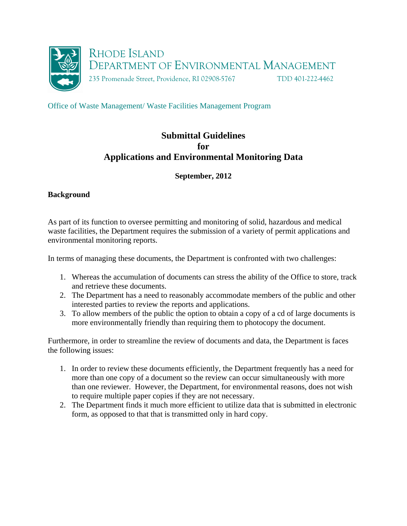

Office of Waste Management/ Waste Facilities Management Program

# **Submittal Guidelines for Applications and Environmental Monitoring Data**

**September, 2012** 

## **Background**

As part of its function to oversee permitting and monitoring of solid, hazardous and medical waste facilities, the Department requires the submission of a variety of permit applications and environmental monitoring reports.

In terms of managing these documents, the Department is confronted with two challenges:

- 1. Whereas the accumulation of documents can stress the ability of the Office to store, track and retrieve these documents.
- 2. The Department has a need to reasonably accommodate members of the public and other interested parties to review the reports and applications.
- 3. To allow members of the public the option to obtain a copy of a cd of large documents is more environmentally friendly than requiring them to photocopy the document.

Furthermore, in order to streamline the review of documents and data, the Department is faces the following issues:

- 1. In order to review these documents efficiently, the Department frequently has a need for more than one copy of a document so the review can occur simultaneously with more than one reviewer. However, the Department, for environmental reasons, does not wish to require multiple paper copies if they are not necessary.
- 2. The Department finds it much more efficient to utilize data that is submitted in electronic form, as opposed to that that is transmitted only in hard copy.